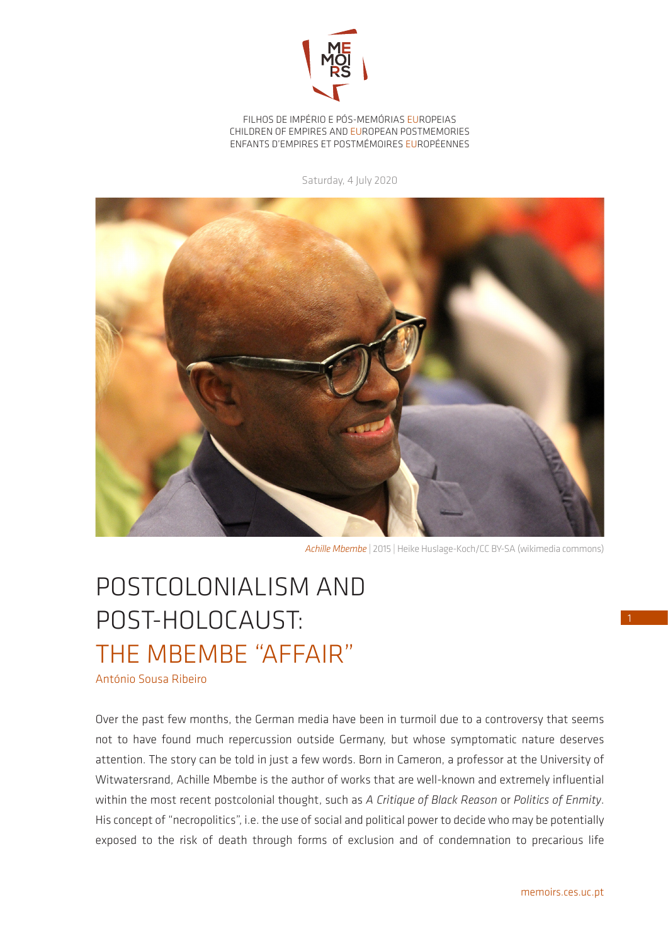

FILHOS DE IMPÉRIO E PÓS-MEMÓRIAS EUROPEIAS CHILDREN OF EMPIRES AND EUROPEAN POSTMEMORIES ENFANTS D'EMPIRES ET POSTMÉMOIRES EUROPÉENNES

Saturday, 4 July 2020



*Achille Mbembe* | 2015 | Heike Huslage-Koch/CC BY-SA (wikimedia commons)

## POSTCOLONIALISM AND POST-HOLOCAUST: THE MBEMBE "AFFAIR"

António Sousa Ribeiro

Over the past few months, the German media have been in turmoil due to a controversy that seems not to have found much repercussion outside Germany, but whose symptomatic nature deserves attention. The story can be told in just a few words. Born in Cameron, a professor at the University of Witwatersrand, Achille Mbembe is the author of works that are well-known and extremely influential within the most recent postcolonial thought, such as *A Critique of Black Reason* or *Politics of Enmity*. His concept of "necropolitics", i.e. the use of social and political power to decide who may be potentially exposed to the risk of death through forms of exclusion and of condemnation to precarious life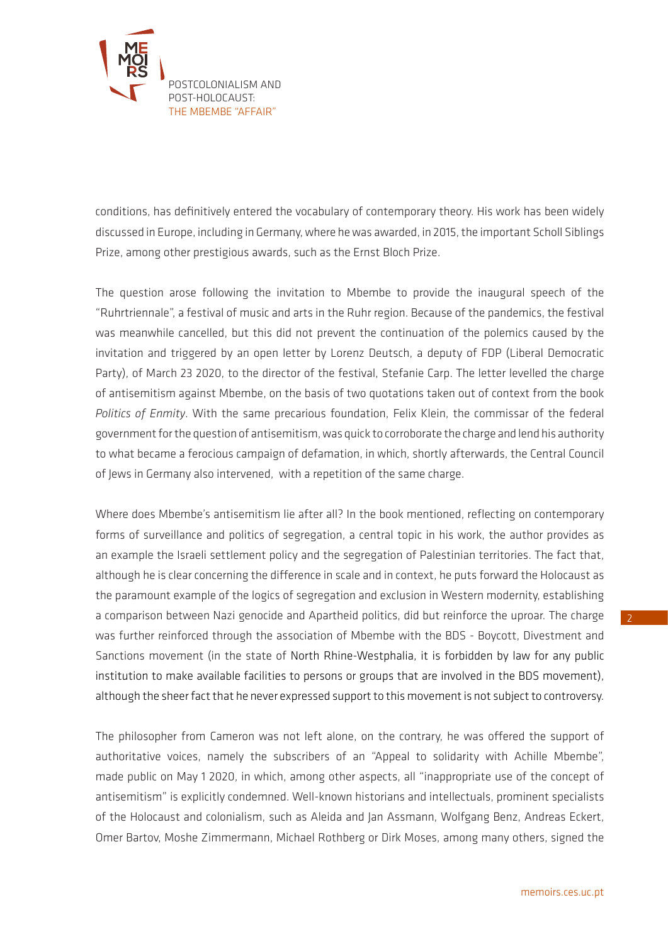

conditions, has definitively entered the vocabulary of contemporary theory. His work has been widely discussed in Europe, including in Germany, where he was awarded, in 2015, the important Scholl Siblings Prize, among other prestigious awards, such as the Ernst Bloch Prize.

The question arose following the invitation to Mbembe to provide the inaugural speech of the "Ruhrtriennale", a festival of music and arts in the Ruhr region. Because of the pandemics, the festival was meanwhile cancelled, but this did not prevent the continuation of the polemics caused by the invitation and triggered by an open letter by Lorenz Deutsch, a deputy of FDP (Liberal Democratic Party), of March 23 2020, to the director of the festival, Stefanie Carp. The letter levelled the charge of antisemitism against Mbembe, on the basis of two quotations taken out of context from the book *Politics of Enmity*. With the same precarious foundation, Felix Klein, the commissar of the federal government for the question of antisemitism, was quick to corroborate the charge and lend his authority to what became a ferocious campaign of defamation, in which, shortly afterwards, the Central Council of Jews in Germany also intervened, with a repetition of the same charge.

Where does Mbembe's antisemitism lie after all? In the book mentioned, reflecting on contemporary forms of surveillance and politics of segregation, a central topic in his work, the author provides as an example the Israeli settlement policy and the segregation of Palestinian territories. The fact that, although he is clear concerning the difference in scale and in context, he puts forward the Holocaust as the paramount example of the logics of segregation and exclusion in Western modernity, establishing a comparison between Nazi genocide and Apartheid politics, did but reinforce the uproar. The charge was further reinforced through the association of Mbembe with the BDS - Boycott, Divestment and Sanctions movement (in the state of North Rhine-Westphalia, it is forbidden by law for any public institution to make available facilities to persons or groups that are involved in the BDS movement), although the sheer fact that he never expressed support to this movement is not subject to controversy.

The philosopher from Cameron was not left alone, on the contrary, he was offered the support of authoritative voices, namely the subscribers of an "Appeal to solidarity with Achille Mbembe", made public on May 1 2020, in which, among other aspects, all "inappropriate use of the concept of antisemitism" is explicitly condemned. Well-known historians and intellectuals, prominent specialists of the Holocaust and colonialism, such as Aleida and Jan Assmann, Wolfgang Benz, Andreas Eckert, Omer Bartov, Moshe Zimmermann, Michael Rothberg or Dirk Moses, among many others, signed the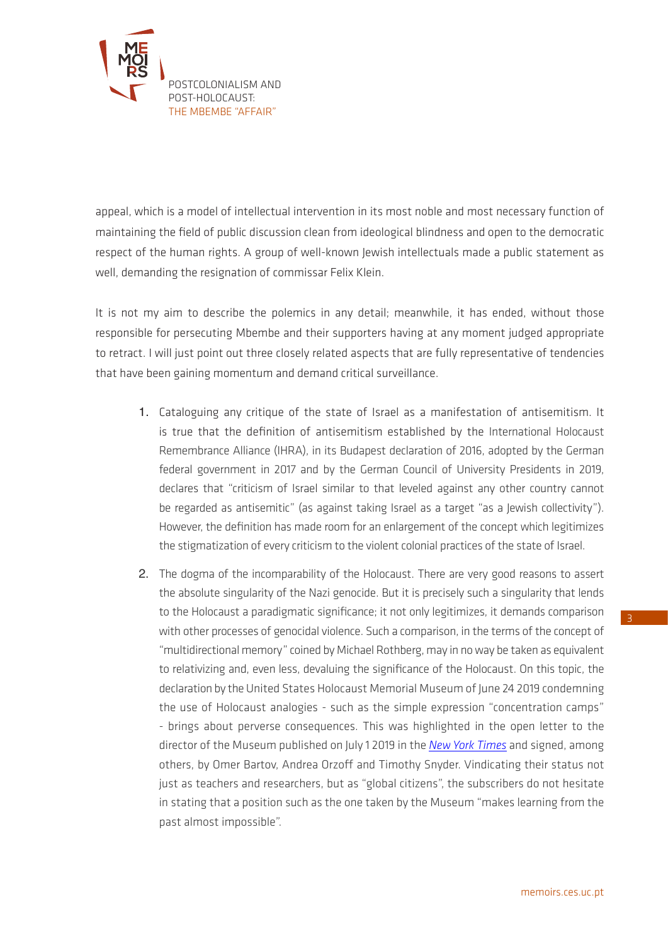

appeal, which is a model of intellectual intervention in its most noble and most necessary function of maintaining the field of public discussion clean from ideological blindness and open to the democratic respect of the human rights. A group of well-known Jewish intellectuals made a public statement as well, demanding the resignation of commissar Felix Klein.

It is not my aim to describe the polemics in any detail; meanwhile, it has ended, without those responsible for persecuting Mbembe and their supporters having at any moment judged appropriate to retract. I will just point out three closely related aspects that are fully representative of tendencies that have been gaining momentum and demand critical surveillance.

- 1. Cataloguing any critique of the state of Israel as a manifestation of antisemitism. It is true that the definition of antisemitism established by the International Holocaust Remembrance Alliance (IHRA), in its Budapest declaration of 2016, adopted by the German federal government in 2017 and by the German Council of University Presidents in 2019, declares that "criticism of Israel similar to that leveled against any other country cannot be regarded as antisemitic" (as against taking Israel as a target "as a Jewish collectivity"). However, the definition has made room for an enlargement of the concept which legitimizes the stigmatization of every criticism to the violent colonial practices of the state of Israel.
- 2. The dogma of the incomparability of the Holocaust. There are very good reasons to assert the absolute singularity of the Nazi genocide. But it is precisely such a singularity that lends to the Holocaust a paradigmatic significance; it not only legitimizes, it demands comparison with other processes of genocidal violence. Such a comparison, in the terms of the concept of "multidirectional memory" coined by Michael Rothberg, may in no way be taken as equivalent to relativizing and, even less, devaluing the significance of the Holocaust. On this topic, the declaration by the United States Holocaust Memorial Museum of June 24 2019 condemning the use of Holocaust analogies - such as the simple expression "concentration camps" - brings about perverse consequences. This was highlighted in the open letter to the director of the Museum published on July 1 2019 in the *[New York Times](https://www.nybooks.com/daily/2019/07/01/an-open-letter-to-the-director-of-the-holocaust-memorial-museum/)* and signed, among others, by Omer Bartov, Andrea Orzoff and Timothy Snyder. Vindicating their status not just as teachers and researchers, but as "global citizens", the subscribers do not hesitate in stating that a position such as the one taken by the Museum "makes learning from the past almost impossible".